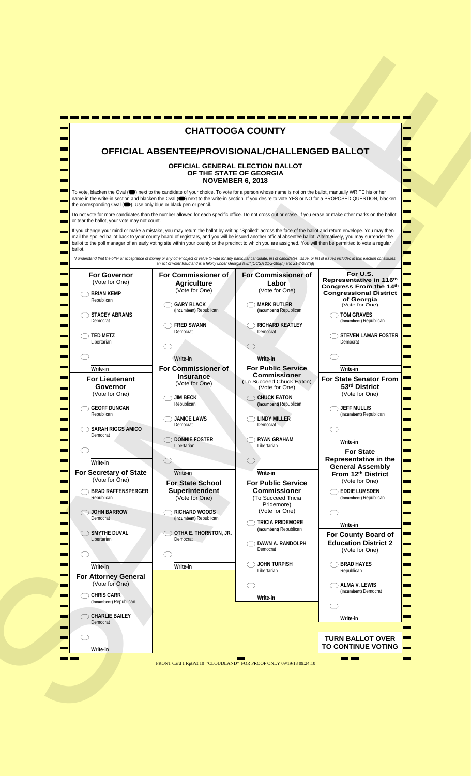|                                                                           | <b>CHATTOOGA COUNTY</b>                                                                                                                                                                                                                                                                                                                                                                                                                                                                      |                                                                                                |                                                                              |
|---------------------------------------------------------------------------|----------------------------------------------------------------------------------------------------------------------------------------------------------------------------------------------------------------------------------------------------------------------------------------------------------------------------------------------------------------------------------------------------------------------------------------------------------------------------------------------|------------------------------------------------------------------------------------------------|------------------------------------------------------------------------------|
|                                                                           | OFFICIAL ABSENTEE/PROVISIONAL/CHALLENGED BALLOT                                                                                                                                                                                                                                                                                                                                                                                                                                              |                                                                                                |                                                                              |
|                                                                           | OFFICIAL GENERAL ELECTION BALLOT<br><b>NOVEMBER 6, 2018</b>                                                                                                                                                                                                                                                                                                                                                                                                                                  | OF THE STATE OF GEORGIA                                                                        |                                                                              |
| the corresponding Oval (C). Use only blue or black pen or pencil.         | To vote, blacken the Oval (Comparent of the candidate of your choice. To vote for a person whose name is not on the ballot, manually WRITE his or her<br>name in the write-in section and blacken the Oval (●) next to the write-in section. If you desire to vote YES or NO for a PROPOSED QUESTION, blacken                                                                                                                                                                                |                                                                                                |                                                                              |
| or tear the ballot, your vote may not count.                              | Do not vote for more candidates than the number allowed for each specific office. Do not cross out or erase. If you erase or make other marks on the ballot                                                                                                                                                                                                                                                                                                                                  |                                                                                                |                                                                              |
| ballot.                                                                   | If you change your mind or make a mistake, you may return the ballot by writing "Spoiled" across the face of the ballot and return envelope. You may then<br>mail the spoiled ballot back to your county board of registrars, and you will be issued another official absentee ballot. Alternatively, you may surrender the<br>ballot to the poll manager of an early voting site within your county or the precinct to which you are assigned. You will then be permitted to vote a regular |                                                                                                |                                                                              |
|                                                                           | "I understand that the offer or acceptance of money or any other object of value to vote for any particular candidate, list of candidates, issue, or list of issues included in this election constitutes                                                                                                                                                                                                                                                                                    | an act of voter fraud and is a felony under Georgia law." [OCGA 21-2-285(h) and 21-2-383(a)]   |                                                                              |
| <b>For Governor</b>                                                       | For Commissioner of                                                                                                                                                                                                                                                                                                                                                                                                                                                                          | <b>For Commissioner of</b>                                                                     | For U.S.<br>Representative in 116th                                          |
| (Vote for One)<br>$\supset$ Brian Kemp<br>Republican                      | <b>Agriculture</b><br>(Vote for One)                                                                                                                                                                                                                                                                                                                                                                                                                                                         | Labor<br>(Vote for One)                                                                        | Congress From the 14th<br><b>Congressional District</b><br>of Georgia        |
| $\supset$ STACEY ABRAMS                                                   | <b>GARY BLACK</b><br>(Incumbent) Republican                                                                                                                                                                                                                                                                                                                                                                                                                                                  | <b>MARK BUTLER</b><br>(Incumbent) Republican                                                   | (Vote for One)<br>TOM GRAVES                                                 |
| Democrat                                                                  | <b>FRED SWANN</b><br>Democrat                                                                                                                                                                                                                                                                                                                                                                                                                                                                | <b>RICHARD KEATLEY</b><br>Democrat                                                             | (Incumbent) Republican                                                       |
| $\supset$ TED METZ<br>Libertarian                                         |                                                                                                                                                                                                                                                                                                                                                                                                                                                                                              |                                                                                                | ) STEVEN LAMAR FOSTER I∎<br>Democrat                                         |
|                                                                           | Write-in                                                                                                                                                                                                                                                                                                                                                                                                                                                                                     | Write-in                                                                                       |                                                                              |
| Write-in<br><b>For Lieutenant</b><br>Governor<br>(Vote for One)           | <b>For Commissioner of</b><br><b>Insurance</b><br>(Vote for One)                                                                                                                                                                                                                                                                                                                                                                                                                             | <b>For Public Service</b><br><b>Commissioner</b><br>(To Succeed Chuck Eaton)<br>(Vote for One) | Write-in<br><b>For State Senator From</b><br>53rd District<br>(Vote for One) |
| <b>GEOFF DUNCAN</b><br>Republican                                         | $\bigcirc$ jim beck<br>Republican                                                                                                                                                                                                                                                                                                                                                                                                                                                            | CHUCK EATON<br>(Incumbent) Republican                                                          | $\bigcirc$ JEFF MULLIS<br>(Incumbent) Republican                             |
| <b>SARAH RIGGS AMICO</b>                                                  | JANICE LAWS<br>Democrat                                                                                                                                                                                                                                                                                                                                                                                                                                                                      | ◯ LINDY MILLER<br>Democrat                                                                     |                                                                              |
| Democrat                                                                  | O DONNIE FOSTER<br>Libertarian                                                                                                                                                                                                                                                                                                                                                                                                                                                               | <b>RYAN GRAHAM</b><br>Libertarian                                                              | Write-in                                                                     |
| ⌒<br>$\overline{\phantom{a}}$<br>Write-in                                 | ◯                                                                                                                                                                                                                                                                                                                                                                                                                                                                                            | ⌒                                                                                              | <b>For State</b><br>Representative in the                                    |
| For Secretary of State<br>(Vote for One)                                  | Write-in                                                                                                                                                                                                                                                                                                                                                                                                                                                                                     | Write-in                                                                                       | <b>General Assembly</b><br>From 12th District                                |
| <b>BRAD RAFFENSPERGER</b><br>Republican                                   | <b>For State School</b><br><b>Superintendent</b><br>(Vote for One)                                                                                                                                                                                                                                                                                                                                                                                                                           | <b>For Public Service</b><br><b>Commissioner</b><br>(To Succeed Tricia                         | (Vote for One)<br><b>OR EDDIE LUMSDEN</b><br>(Incumbent) Republican          |
| O JOHN BARROW<br>Democrat                                                 | RICHARD WOODS<br>(Incumbent) Republican                                                                                                                                                                                                                                                                                                                                                                                                                                                      | Pridemore)<br>(Vote for One)<br><b>TRICIA PRIDEMORE</b>                                        |                                                                              |
| SMYTHE DUVAL                                                              | $\bigcirc$ otha E. Thornton, Jr.                                                                                                                                                                                                                                                                                                                                                                                                                                                             | (Incumbent) Republican                                                                         | Write-in<br>For County Board of                                              |
| Libertarian                                                               | Democrat                                                                                                                                                                                                                                                                                                                                                                                                                                                                                     | ) DAWN A. RANDOLPH<br>Democrat                                                                 | <b>Education District 2</b><br>(Vote for One)                                |
| Write-in<br><b>The College</b>                                            | Write-in                                                                                                                                                                                                                                                                                                                                                                                                                                                                                     | ) JOHN TURPISH<br>Libertarian                                                                  | <b>BRAD HAYES</b><br>Republican                                              |
| <b>For Attorney General</b><br>(Vote for One)<br><b>The Second Second</b> |                                                                                                                                                                                                                                                                                                                                                                                                                                                                                              |                                                                                                | ) ALMA V. LEWIS<br>(Incumbent) Democrat                                      |
| $\supset$ CHRIS CARR<br><b>The State</b><br>(Incumbent) Republican        |                                                                                                                                                                                                                                                                                                                                                                                                                                                                                              | Write-in                                                                                       | $\subset$                                                                    |
| CHARLIE BAILEY<br>Ξ<br>Democrat                                           |                                                                                                                                                                                                                                                                                                                                                                                                                                                                                              |                                                                                                | Write-in                                                                     |
|                                                                           |                                                                                                                                                                                                                                                                                                                                                                                                                                                                                              |                                                                                                | <b>TURN BALLOT OVER</b>                                                      |
| Write-in                                                                  |                                                                                                                                                                                                                                                                                                                                                                                                                                                                                              |                                                                                                | TO CONTINUE VOTING                                                           |